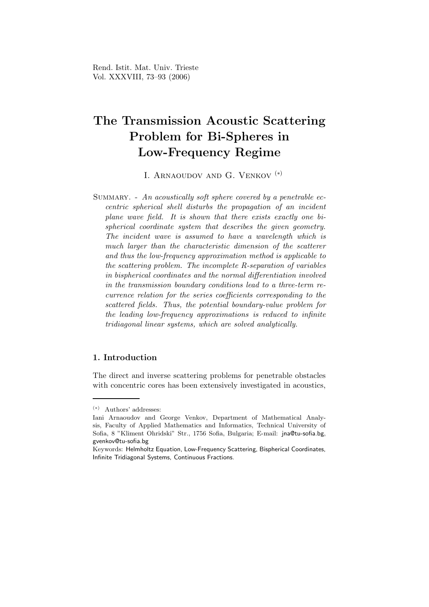# The Transmission Acoustic Scattering Problem for Bi-Spheres in Low-Frequency Regime

I. Arnaoudov and G. Venkov (∗)

SUMMARY. - An acoustically soft sphere covered by a penetrable eccentric spherical shell disturbs the propagation of an incident plane wave field. It is shown that there exists exactly one bispherical coordinate system that describes the given geometry. The incident wave is assumed to have a wavelength which is much larger than the characteristic dimension of the scatterer and thus the low-frequency approximation method is applicable to the scattering problem. The incomplete R-separation of variables in bispherical coordinates and the normal differentiation involved in the transmission boundary conditions lead to a three-term recurrence relation for the series coefficients corresponding to the scattered fields. Thus, the potential boundary-value problem for the leading low-frequency approximations is reduced to infinite tridiagonal linear systems, which are solved analytically.

### 1. Introduction

The direct and inverse scattering problems for penetrable obstacles with concentric cores has been extensively investigated in acoustics,

<sup>(</sup>∗) Authors' addresses:

Iani Arnaoudov and George Venkov, Department of Mathematical Analysis, Faculty of Applied Mathematics and Informatics, Technical University of Sofia, 8 "Kliment Ohridski" Str., 1756 Sofia, Bulgaria; E-mail: jna@tu-sofia.bg, gvenkov@tu-sofia.bg

Keywords: Helmholtz Equation, Low-Frequency Scattering, Bispherical Coordinates, Infinite Tridiagonal Systems, Continuous Fractions.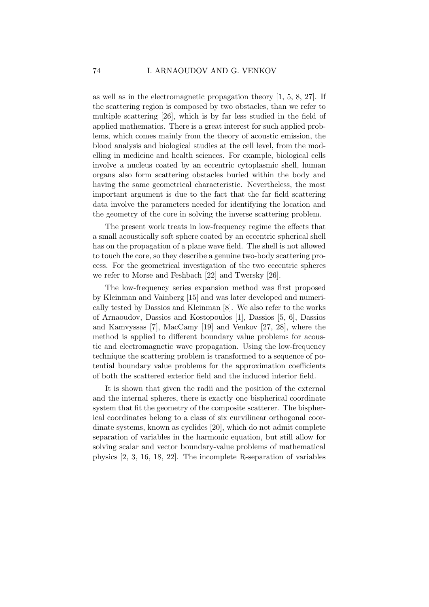as well as in the electromagnetic propagation theory [1, 5, 8, 27]. If the scattering region is composed by two obstacles, than we refer to multiple scattering [26], which is by far less studied in the field of applied mathematics. There is a great interest for such applied problems, which comes mainly from the theory of acoustic emission, the blood analysis and biological studies at the cell level, from the modelling in medicine and health sciences. For example, biological cells involve a nucleus coated by an eccentric cytoplasmic shell, human organs also form scattering obstacles buried within the body and having the same geometrical characteristic. Nevertheless, the most important argument is due to the fact that the far field scattering data involve the parameters needed for identifying the location and the geometry of the core in solving the inverse scattering problem.

The present work treats in low-frequency regime the effects that a small acoustically soft sphere coated by an eccentric spherical shell has on the propagation of a plane wave field. The shell is not allowed to touch the core, so they describe a genuine two-body scattering process. For the geometrical investigation of the two eccentric spheres we refer to Morse and Feshbach [22] and Twersky [26].

The low-frequency series expansion method was first proposed by Kleinman and Vainberg [15] and was later developed and numerically tested by Dassios and Kleinman [8]. We also refer to the works of Arnaoudov, Dassios and Kostopoulos [1], Dassios [5, 6], Dassios and Kamvyssas [7], MacCamy [19] and Venkov [27, 28], where the method is applied to different boundary value problems for acoustic and electromagnetic wave propagation. Using the low-frequency technique the scattering problem is transformed to a sequence of potential boundary value problems for the approximation coefficients of both the scattered exterior field and the induced interior field.

It is shown that given the radii and the position of the external and the internal spheres, there is exactly one bispherical coordinate system that fit the geometry of the composite scatterer. The bispherical coordinates belong to a class of six curvilinear orthogonal coordinate systems, known as cyclides [20], which do not admit complete separation of variables in the harmonic equation, but still allow for solving scalar and vector boundary-value problems of mathematical physics [2, 3, 16, 18, 22]. The incomplete R-separation of variables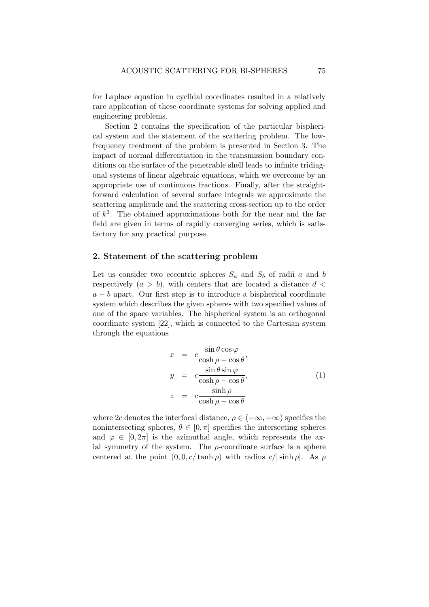for Laplace equation in cyclidal coordinates resulted in a relatively rare application of these coordinate systems for solving applied and engineering problems.

Section 2 contains the specification of the particular bispherical system and the statement of the scattering problem. The lowfrequency treatment of the problem is presented in Section 3. The impact of normal differentiation in the transmission boundary conditions on the surface of the penetrable shell leads to infinite tridiagonal systems of linear algebraic equations, which we overcome by an appropriate use of continuous fractions. Finally, after the straightforward calculation of several surface integrals we approximate the scattering amplitude and the scattering cross-section up to the order of  $k^3$ . The obtained approximations both for the near and the far field are given in terms of rapidly converging series, which is satisfactory for any practical purpose.

### 2. Statement of the scattering problem

Let us consider two eccentric spheres  $S_a$  and  $S_b$  of radii a and b respectively  $(a > b)$ , with centers that are located a distance  $d <$  $a - b$  apart. Our first step is to introduce a bispherical coordinate system which describes the given spheres with two specified values of one of the space variables. The bispherical system is an orthogonal coordinate system [22], which is connected to the Cartesian system through the equations

$$
x = c \frac{\sin \theta \cos \varphi}{\cosh \rho - \cos \theta},
$$
  
\n
$$
y = c \frac{\sin \theta \sin \varphi}{\cosh \rho - \cos \theta},
$$
  
\n
$$
z = c \frac{\sinh \rho}{\cosh \rho - \cos \theta}
$$
  
\n(1)

where 2c denotes the interfocal distance,  $\rho \in (-\infty, +\infty)$  specifies the nonintersecting spheres,  $\theta \in [0, \pi]$  specifies the intersecting spheres and  $\varphi \in [0, 2\pi]$  is the azimuthal angle, which represents the axial symmetry of the system. The  $\rho$ -coordinate surface is a sphere centered at the point  $(0, 0, c/\tanh \rho)$  with radius  $c/|\sinh \rho|$ . As  $\rho$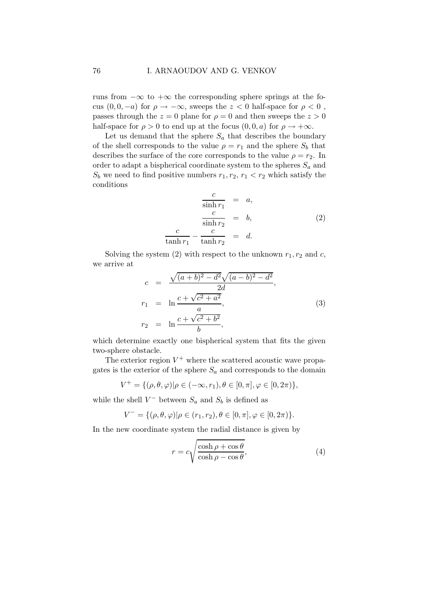runs from  $-\infty$  to  $+\infty$  the corresponding sphere springs at the focus  $(0, 0, -a)$  for  $\rho \to -\infty$ , sweeps the  $z < 0$  half-space for  $\rho < 0$ , passes through the  $z = 0$  plane for  $\rho = 0$  and then sweeps the  $z > 0$ half-space for  $\rho > 0$  to end up at the focus  $(0, 0, a)$  for  $\rho \to +\infty$ .

Let us demand that the sphere  ${\cal S}_a$  that describes the boundary of the shell corresponds to the value  $\rho = r_1$  and the sphere  $S_b$  that describes the surface of the core corresponds to the value  $\rho = r_2$ . In order to adapt a bispherical coordinate system to the spheres  $S_a$  and  $S_b$  we need to find positive numbers  $r_1, r_2, r_1 < r_2$  which satisfy the conditions

$$
\frac{c}{\sinh r_1} = a,
$$
\n
$$
\frac{c}{\sinh r_2} = b,
$$
\n
$$
\frac{c}{\tanh r_1} - \frac{c}{\tanh r_2} = d.
$$
\n(2)

Solving the system (2) with respect to the unknown  $r_1, r_2$  and c, we arrive at

$$
c = \frac{\sqrt{(a+b)^2 - d^2}\sqrt{(a-b)^2 - d^2}}{2d},
$$
  
\n
$$
r_1 = \ln \frac{c + \sqrt{c^2 + a^2}}{a},
$$
  
\n
$$
r_2 = \ln \frac{c + \sqrt{c^2 + b^2}}{b},
$$
\n(3)

which determine exactly one bispherical system that fits the given two-sphere obstacle.

The exterior region  $V^+$  where the scattered acoustic wave propagates is the exterior of the sphere  $S_a$  and corresponds to the domain

$$
V^+ = \{(\rho, \theta, \varphi) | \rho \in (-\infty, r_1), \theta \in [0, \pi], \varphi \in [0, 2\pi)\},\
$$

while the shell  $V^-$  between  $S_a$  and  $S_b$  is defined as

 $\overline{\phantom{a}}$ 

$$
V^- = \{(\rho, \theta, \varphi) | \rho \in (r_1, r_2), \theta \in [0, \pi], \varphi \in [0, 2\pi)\}.
$$

In the new coordinate system the radial distance is given by

$$
r = c\sqrt{\frac{\cosh \rho + \cos \theta}{\cosh \rho - \cos \theta}},
$$
\n(4)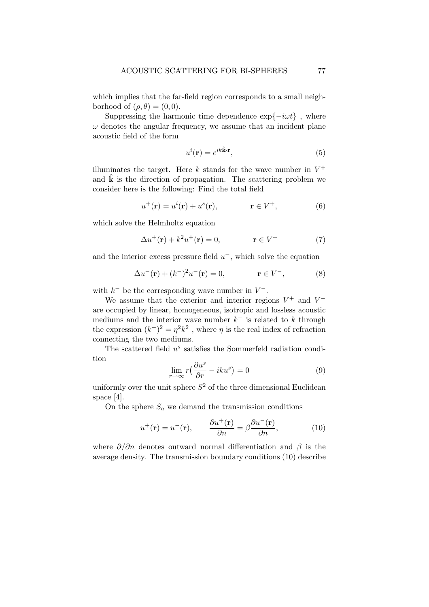which implies that the far-field region corresponds to a small neighborhood of  $(\rho, \theta) = (0, 0)$ .

Suppressing the harmonic time dependence  $\exp\{-i\omega t\}$ , where  $\omega$  denotes the angular frequency, we assume that an incident plane acoustic field of the form

$$
u^{i}(\mathbf{r}) = e^{ik\hat{\mathbf{k}} \cdot \mathbf{r}},\tag{5}
$$

illuminates the target. Here  $k$  stands for the wave number in  $V^+$ and  $\hat{k}$  is the direction of propagation. The scattering problem we consider here is the following: Find the total field

$$
u^{+}(\mathbf{r}) = u^{i}(\mathbf{r}) + u^{s}(\mathbf{r}), \qquad \mathbf{r} \in V^{+}, \qquad (6)
$$

which solve the Helmholtz equation

$$
\Delta u^+ (\mathbf{r}) + k^2 u^+ (\mathbf{r}) = 0, \qquad \mathbf{r} \in V^+ \tag{7}
$$

and the interior excess pressure field  $u^-$ , which solve the equation

$$
\Delta u^{-}(\mathbf{r}) + (k^{-})^{2} u^{-}(\mathbf{r}) = 0, \qquad \mathbf{r} \in V^{-}, \qquad (8)
$$

with  $k^-$  be the corresponding wave number in  $V^-$ .

We assume that the exterior and interior regions  $V^+$  and  $V^$ are occupied by linear, homogeneous, isotropic and lossless acoustic mediums and the interior wave number  $k^-$  is related to k through the expression  $(k^-)^2 = \eta^2 k^2$ , where  $\eta$  is the real index of refraction connecting the two mediums.

The scattered field  $u^s$  satisfies the Sommerfeld radiation condition

$$
\lim_{r \to \infty} r\left(\frac{\partial u^s}{\partial r} - iku^s\right) = 0\tag{9}
$$

uniformly over the unit sphere  $S^2$  of the three dimensional Euclidean space [4].

On the sphere  $S_a$  we demand the transmission conditions

$$
u^{+}(\mathbf{r}) = u^{-}(\mathbf{r}), \qquad \frac{\partial u^{+}(\mathbf{r})}{\partial n} = \beta \frac{\partial u^{-}(\mathbf{r})}{\partial n}, \qquad (10)
$$

where  $\partial/\partial n$  denotes outward normal differentiation and  $\beta$  is the average density. The transmission boundary conditions (10) describe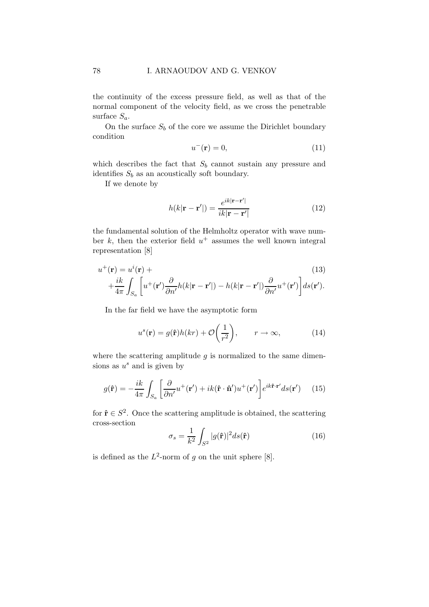the continuity of the excess pressure field, as well as that of the normal component of the velocity field, as we cross the penetrable surface  $S_a$ .

On the surface  $S_b$  of the core we assume the Dirichlet boundary condition

$$
u^{-}(\mathbf{r}) = 0,\tag{11}
$$

which describes the fact that  $S_b$  cannot sustain any pressure and identifies  $S_b$  as an acoustically soft boundary.

If we denote by

$$
h(k|\mathbf{r} - \mathbf{r}'|) = \frac{e^{ik|\mathbf{r} - \mathbf{r}'|}}{ik|\mathbf{r} - \mathbf{r}'|}
$$
(12)

the fundamental solution of the Helmholtz operator with wave number  $k$ , then the exterior field  $u^+$  assumes the well known integral representation [8]

$$
u^{+}(\mathbf{r}) = u^{i}(\mathbf{r}) + \frac{ik}{4\pi} \int_{S_a} \left[ u^{+}(\mathbf{r}') \frac{\partial}{\partial n'} h(k|\mathbf{r} - \mathbf{r}'|) - h(k|\mathbf{r} - \mathbf{r}'|) \frac{\partial}{\partial n'} u^{+}(\mathbf{r}') \right] ds(\mathbf{r}').
$$
\n(13)

In the far field we have the asymptotic form

$$
u^{s}(\mathbf{r}) = g(\hat{\mathbf{r}})h(kr) + \mathcal{O}\left(\frac{1}{r^{2}}\right), \qquad r \to \infty,
$$
 (14)

where the scattering amplitude  $q$  is normalized to the same dimensions as  $u^s$  and is given by

$$
g(\hat{\mathbf{r}}) = -\frac{ik}{4\pi} \int_{S_a} \left[ \frac{\partial}{\partial n'} u^+(\mathbf{r}') + ik(\hat{\mathbf{r}} \cdot \hat{\mathbf{n}}') u^+(\mathbf{r}') \right] e^{ik\hat{\mathbf{r}} \cdot \mathbf{r}'} ds(\mathbf{r}') \tag{15}
$$

for  $\hat{\mathbf{r}} \in S^2$ . Once the scattering amplitude is obtained, the scattering cross-section

$$
\sigma_s = \frac{1}{k^2} \int_{S^2} |g(\hat{\mathbf{r}})|^2 ds(\hat{\mathbf{r}})
$$
\n(16)

is defined as the  $L^2$ -norm of g on the unit sphere [8].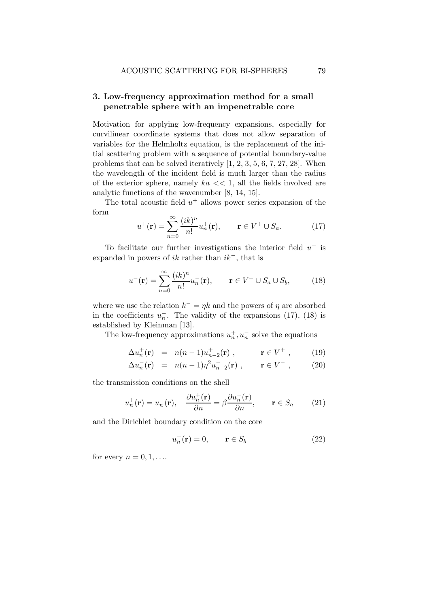# 3. Low-frequency approximation method for a small penetrable sphere with an impenetrable core

Motivation for applying low-frequency expansions, especially for curvilinear coordinate systems that does not allow separation of variables for the Helmholtz equation, is the replacement of the initial scattering problem with a sequence of potential boundary-value problems that can be solved iteratively [1, 2, 3, 5, 6, 7, 27, 28]. When the wavelength of the incident field is much larger than the radius of the exterior sphere, namely  $ka \ll 1$ , all the fields involved are analytic functions of the wavenumber [8, 14, 15].

The total acoustic field  $u^+$  allows power series expansion of the form

$$
u^{+}(\mathbf{r}) = \sum_{n=0}^{\infty} \frac{(ik)^n}{n!} u_n^{+}(\mathbf{r}), \qquad \mathbf{r} \in V^{+} \cup S_a.
$$
 (17)

To facilitate our further investigations the interior field  $u^-$  is expanded in powers of  $ik$  rather than  $ik^-$ , that is

$$
u^{-}(\mathbf{r}) = \sum_{n=0}^{\infty} \frac{(ik)^n}{n!} u_n^{-}(\mathbf{r}), \qquad \mathbf{r} \in V^{-} \cup S_a \cup S_b,
$$
 (18)

where we use the relation  $k^- = \eta k$  and the powers of  $\eta$  are absorbed in the coefficients  $u_n^-$ . The validity of the expansions (17), (18) is established by Kleinman [13].

The low-frequency approximations  $u_n^+, u_n^-$  solve the equations

$$
\Delta u_n^+(\mathbf{r}) = n(n-1)u_{n-2}^+(\mathbf{r}), \qquad \mathbf{r} \in V^+ , \qquad (19)
$$

$$
\Delta u_n^-(\mathbf{r}) = n(n-1)\eta^2 u_{n-2}^-(\mathbf{r}), \qquad \mathbf{r} \in V^-\,, \tag{20}
$$

the transmission conditions on the shell

$$
u_n^+(\mathbf{r}) = u_n^-(\mathbf{r}), \quad \frac{\partial u_n^+(\mathbf{r})}{\partial n} = \beta \frac{\partial u_n^-(\mathbf{r})}{\partial n}, \qquad \mathbf{r} \in S_a \tag{21}
$$

and the Dirichlet boundary condition on the core

$$
u_n^-(\mathbf{r}) = 0, \qquad \mathbf{r} \in S_b \tag{22}
$$

for every  $n = 0, 1, \ldots$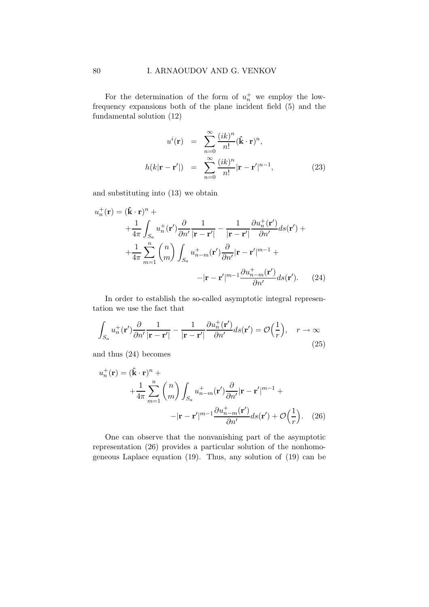For the determination of the form of  $u_n^+$  we employ the lowfrequency expansions both of the plane incident field (5) and the fundamental solution (12)

$$
u^{i}(\mathbf{r}) = \sum_{n=0}^{\infty} \frac{(ik)^{n}}{n!} (\hat{\mathbf{k}} \cdot \mathbf{r})^{n},
$$
  

$$
h(k|\mathbf{r} - \mathbf{r}'|) = \sum_{n=0}^{\infty} \frac{(ik)^{n}}{n!} |\mathbf{r} - \mathbf{r}'|^{n-1},
$$
 (23)

and substituting into (13) we obtain

$$
u_n^+(\mathbf{r}) = (\hat{\mathbf{k}} \cdot \mathbf{r})^n +
$$
  
+ 
$$
\frac{1}{4\pi} \int_{S_a} u_n^+(\mathbf{r}') \frac{\partial}{\partial n'} \frac{1}{|\mathbf{r} - \mathbf{r}'|} - \frac{1}{|\mathbf{r} - \mathbf{r}'|} \frac{\partial u_n^+(\mathbf{r}')}{\partial n'} ds(\mathbf{r}') +
$$
  
+ 
$$
\frac{1}{4\pi} \sum_{m=1}^n {n \choose m} \int_{S_a} u_{n-m}^+(\mathbf{r}') \frac{\partial}{\partial n'} |\mathbf{r} - \mathbf{r}'|^{m-1} +
$$
  
- 
$$
|\mathbf{r} - \mathbf{r}'|^{m-1} \frac{\partial u_{n-m}^+(\mathbf{r}')}{\partial n'} ds(\mathbf{r}').
$$
 (24)

In order to establish the so-called asymptotic integral representation we use the fact that

$$
\int_{S_a} u_n^+(\mathbf{r}') \frac{\partial}{\partial n'} \frac{1}{|\mathbf{r} - \mathbf{r}'|} - \frac{1}{|\mathbf{r} - \mathbf{r}'|} \frac{\partial u_n^+(\mathbf{r}')}{\partial n'} ds(\mathbf{r}') = \mathcal{O}\left(\frac{1}{r}\right), \quad r \to \infty
$$
\n(25)

and thus (24) becomes

$$
u_n^+(\mathbf{r}) = (\hat{\mathbf{k}} \cdot \mathbf{r})^n +
$$
  
+ 
$$
\frac{1}{4\pi} \sum_{m=1}^n {n \choose m} \int_{S_a} u_{n-m}^+(\mathbf{r}') \frac{\partial}{\partial n'} |\mathbf{r} - \mathbf{r}'|^{m-1} +
$$
  
- 
$$
|\mathbf{r} - \mathbf{r}'|^{m-1} \frac{\partial u_{n-m}^+(\mathbf{r}')}{\partial n'} ds(\mathbf{r}') + \mathcal{O}\left(\frac{1}{r}\right). \quad (26)
$$

One can observe that the nonvanishing part of the asymptotic representation (26) provides a particular solution of the nonhomogeneous Laplace equation (19). Thus, any solution of (19) can be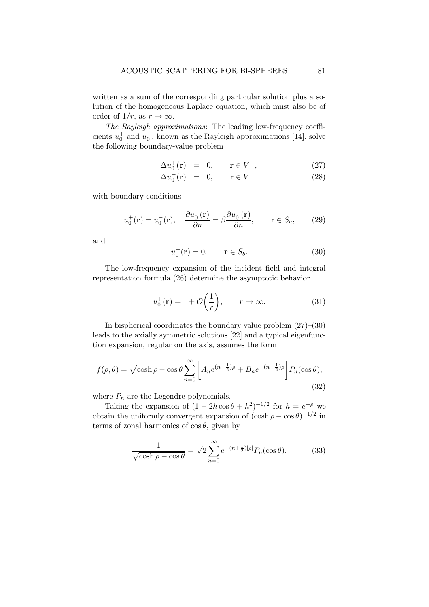written as a sum of the corresponding particular solution plus a solution of the homogeneous Laplace equation, which must also be of order of  $1/r$ , as  $r \to \infty$ .

The Rayleigh approximations: The leading low-frequency coefficients  $u_0^+$  and  $u_0^-$ , known as the Rayleigh approximations [14], solve the following boundary-value problem

$$
\Delta u_0^+(\mathbf{r}) = 0, \qquad \mathbf{r} \in V^+, \tag{27}
$$

$$
\Delta u_0^-(\mathbf{r}) = 0, \qquad \mathbf{r} \in V^- \tag{28}
$$

with boundary conditions

$$
u_0^+(\mathbf{r}) = u_0^-(\mathbf{r}), \quad \frac{\partial u_0^+(\mathbf{r})}{\partial n} = \beta \frac{\partial u_0^-(\mathbf{r})}{\partial n}, \qquad \mathbf{r} \in S_a, \tag{29}
$$

and

$$
u_0^-(\mathbf{r}) = 0, \qquad \mathbf{r} \in S_b. \tag{30}
$$

The low-frequency expansion of the incident field and integral representation formula (26) determine the asymptotic behavior

$$
u_0^+(\mathbf{r}) = 1 + \mathcal{O}\left(\frac{1}{r}\right), \qquad r \to \infty.
$$
 (31)

In bispherical coordinates the boundary value problem  $(27)$ – $(30)$ leads to the axially symmetric solutions [22] and a typical eigenfunction expansion, regular on the axis, assumes the form

$$
f(\rho,\theta) = \sqrt{\cosh \rho - \cos \theta} \sum_{n=0}^{\infty} \left[ A_n e^{(n+\frac{1}{2})\rho} + B_n e^{-(n+\frac{1}{2})\rho} \right] P_n(\cos \theta),
$$
\n(32)

where  $P_n$  are the Legendre polynomials.

Taking the expansion of  $(1 - 2h\cos\theta + h^2)^{-1/2}$  for  $h = e^{-\rho}$  we obtain the uniformly convergent expansion of  $(\cosh \rho - \cos \theta)^{-1/2}$  in terms of zonal harmonics of  $\cos \theta$ , given by

$$
\frac{1}{\sqrt{\cosh \rho - \cos \theta}} = \sqrt{2} \sum_{n=0}^{\infty} e^{-(n + \frac{1}{2})|\rho|} P_n(\cos \theta). \tag{33}
$$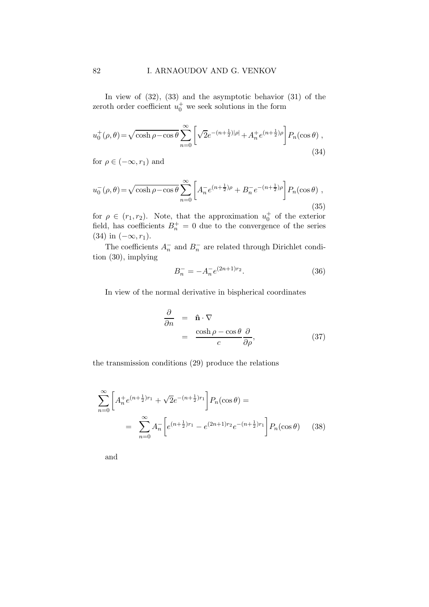In view of (32), (33) and the asymptotic behavior (31) of the zeroth order coefficient  $u_0^+$  we seek solutions in the form

$$
u_0^+(\rho,\theta) = \sqrt{\cosh \rho - \cos \theta} \sum_{n=0}^{\infty} \left[ \sqrt{2}e^{-(n+\frac{1}{2})|\rho|} + A_n^+ e^{(n+\frac{1}{2})\rho} \right] P_n(\cos \theta) ,
$$
\n(34)

for  $\rho \in (-\infty, r_1)$  and

$$
u_0^-(\rho,\theta) = \sqrt{\cosh \rho - \cos \theta} \sum_{n=0}^{\infty} \left[ A_n^- e^{(n+\frac{1}{2})\rho} + B_n^- e^{-(n+\frac{1}{2})\rho} \right] P_n(\cos \theta) ,
$$
\n(35)

for  $\rho \in (r_1, r_2)$ . Note, that the approximation  $u_0^+$  of the exterior field, has coefficients  $B_n^+ = 0$  due to the convergence of the series (34) in  $(-\infty, r_1)$ .

The coefficients  $A_n^-$  and  $B_n^-$  are related through Dirichlet condition (30), implying

$$
B_n^- = -A_n^- e^{(2n+1)r_2}.
$$
\n(36)

In view of the normal derivative in bispherical coordinates

$$
\frac{\partial}{\partial n} = \hat{\mathbf{n}} \cdot \nabla \n= \frac{\cosh \rho - \cos \theta}{c} \frac{\partial}{\partial \rho},
$$
\n(37)

the transmission conditions (29) produce the relations

$$
\sum_{n=0}^{\infty} \left[ A_n^+ e^{(n+\frac{1}{2})r_1} + \sqrt{2} e^{-(n+\frac{1}{2})r_1} \right] P_n(\cos \theta) =
$$
  
= 
$$
\sum_{n=0}^{\infty} A_n^- \left[ e^{(n+\frac{1}{2})r_1} - e^{(2n+1)r_2} e^{-(n+\frac{1}{2})r_1} \right] P_n(\cos \theta)
$$
 (38)

and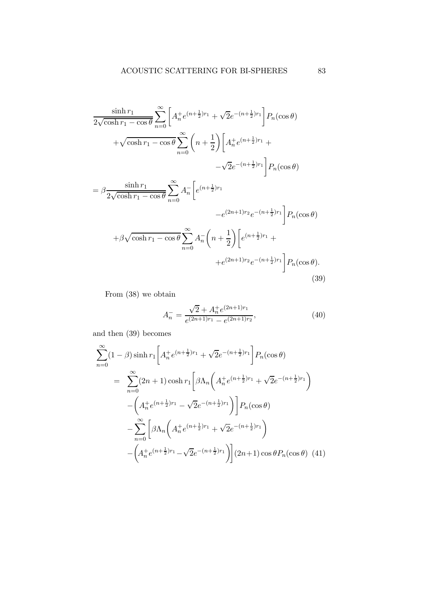$$
\frac{\sinh r_1}{2\sqrt{\cosh r_1 - \cos \theta}} \sum_{n=0}^{\infty} \left[ A_n^+ e^{(n+\frac{1}{2})r_1} + \sqrt{2}e^{-(n+\frac{1}{2})r_1} \right] P_n(\cos \theta)
$$
  
+  $\sqrt{\cosh r_1 - \cos \theta} \sum_{n=0}^{\infty} \left( n + \frac{1}{2} \right) \left[ A_n^+ e^{(n+\frac{1}{2})r_1} + \sqrt{2}e^{-(n+\frac{1}{2})r_1} \right] P_n(\cos \theta)$   
=  $\beta \frac{\sinh r_1}{2\sqrt{\cosh r_1 - \cos \theta}} \sum_{n=0}^{\infty} A_n^- \left[ e^{(n+\frac{1}{2})r_1} - e^{(2n+1)r_2} e^{-(n+\frac{1}{2})r_1} \right] P_n(\cos \theta)$   
+  $\beta \sqrt{\cosh r_1 - \cos \theta} \sum_{n=0}^{\infty} A_n^- \left( n + \frac{1}{2} \right) \left[ e^{(n+\frac{1}{2})r_1} + e^{(2n+1)r_2} e^{-(n+\frac{1}{2})r_1} \right] P_n(\cos \theta).$   
(39)

From (38) we obtain

$$
A_n^- = \frac{\sqrt{2} + A_n^+ e^{(2n+1)r_1}}{e^{(2n+1)r_1} - e^{(2n+1)r_2}},\tag{40}
$$

and then (39) becomes

$$
\sum_{n=0}^{\infty} (1 - \beta) \sinh r_1 \left[ A_n^+ e^{(n + \frac{1}{2})r_1} + \sqrt{2} e^{-(n + \frac{1}{2})r_1} \right] P_n(\cos \theta)
$$
  
\n
$$
= \sum_{n=0}^{\infty} (2n + 1) \cosh r_1 \left[ \beta \Lambda_n \left( A_n^+ e^{(n + \frac{1}{2})r_1} + \sqrt{2} e^{-(n + \frac{1}{2})r_1} \right) - \left( A_n^+ e^{(n + \frac{1}{2})r_1} - \sqrt{2} e^{-(n + \frac{1}{2})r_1} \right) \right] P_n(\cos \theta)
$$
  
\n
$$
- \sum_{n=0}^{\infty} \left[ \beta \Lambda_n \left( A_n^+ e^{(n + \frac{1}{2})r_1} + \sqrt{2} e^{-(n + \frac{1}{2})r_1} \right) - \left( A_n^+ e^{(n + \frac{1}{2})r_1} - \sqrt{2} e^{-(n + \frac{1}{2})r_1} \right) \right] (2n + 1) \cos \theta P_n(\cos \theta) \quad (41)
$$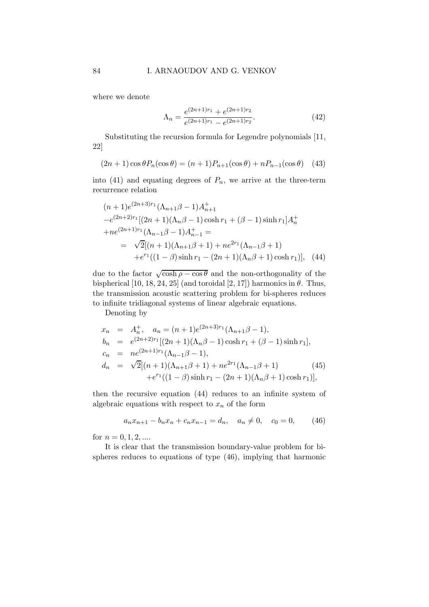where we denote

$$
\Lambda_n = \frac{e^{(2n+1)r_1} + e^{(2n+1)r_2}}{e^{(2n+1)r_1} - e^{(2n+1)r_2}}.
$$
\n(42)

Substituting the recursion formula for Legendre polynomials [11, 22]

$$
(2n+1)\cos\theta P_n(\cos\theta) = (n+1)P_{n+1}(\cos\theta) + nP_{n-1}(\cos\theta)
$$
 (43)

into (41) and equating degrees of  $P_n$ , we arrive at the three-term recurrence relation

$$
(n+1)e^{(2n+3)r_1}(\Lambda_{n+1}\beta - 1)A_{n+1}^+
$$
  
\n
$$
-e^{(2n+2)r_1}[(2n+1)(\Lambda_n\beta - 1)\cosh r_1 + (\beta - 1)\sinh r_1]A_n^+
$$
  
\n
$$
+ne^{(2n+1)r_1}(\Lambda_{n-1}\beta - 1)A_{n-1}^+ =
$$
  
\n
$$
= \sqrt{2}[(n+1)(\Lambda_{n+1}\beta + 1) + ne^{2r_1}(\Lambda_{n-1}\beta + 1)
$$
  
\n
$$
+e^{r_1}((1-\beta)\sinh r_1 - (2n+1)(\Lambda_n\beta + 1)\cosh r_1)], \quad (44)
$$

due to the factor  $\sqrt{\cosh \rho - \cos \theta}$  and the non-orthogonality of the bispherical [10, 18, 24, 25] (and toroidal [2, 17]) harmonics in  $\theta$ . Thus, the transmission acoustic scattering problem for bi-spheres reduces to infinite tridiagonal systems of linear algebraic equations.

Denoting by

$$
x_n = A_n^+, \quad a_n = (n+1)e^{(2n+3)r_1}(\Lambda_{n+1}\beta - 1),
$$
  
\n
$$
b_n = e^{(2n+2)r_1}[(2n+1)(\Lambda_n\beta - 1)\cosh r_1 + (\beta - 1)\sinh r_1],
$$
  
\n
$$
c_n = ne^{(2n+1)r_1}(\Lambda_{n-1}\beta - 1),
$$
  
\n
$$
d_n = \sqrt{2}[(n+1)(\Lambda_{n+1}\beta + 1) + ne^{2r_1}(\Lambda_{n-1}\beta + 1) \qquad (45)
$$
  
\n
$$
+e^{r_1}((1-\beta)\sinh r_1 - (2n+1)(\Lambda_n\beta + 1)\cosh r_1)],
$$

then the recursive equation (44) reduces to an infinite system of algebraic equations with respect to  $x_n$  of the form

$$
a_n x_{n+1} - b_n x_n + c_n x_{n-1} = d_n, \quad a_n \neq 0, \quad c_0 = 0,
$$
 (46)

for  $n = 0, 1, 2, ...$ 

It is clear that the transmission boundary-value problem for bispheres reduces to equations of type (46), implying that harmonic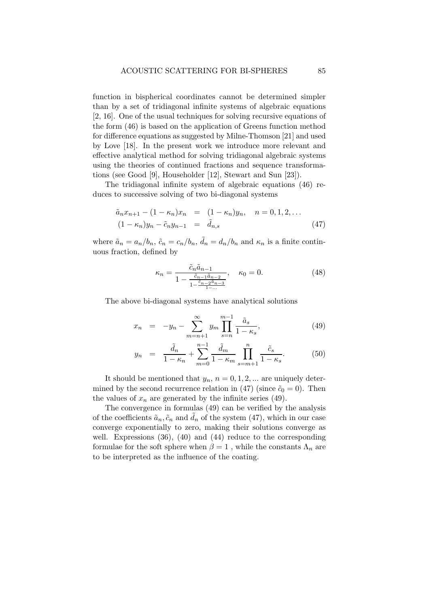function in bispherical coordinates cannot be determined simpler than by a set of tridiagonal infinite systems of algebraic equations [2, 16]. One of the usual techniques for solving recursive equations of the form (46) is based on the application of Greens function method for difference equations as suggested by Milne-Thomson [21] and used by Love [18]. In the present work we introduce more relevant and effective analytical method for solving tridiagonal algebraic systems using the theories of continued fractions and sequence transformations (see Good [9], Householder [12], Stewart and Sun [23]).

The tridiagonal infinite system of algebraic equations (46) reduces to successive solving of two bi-diagonal systems

$$
\tilde{a}_n x_{n+1} - (1 - \kappa_n) x_n = (1 - \kappa_n) y_n, \quad n = 0, 1, 2, ...
$$
  

$$
(1 - \kappa_n) y_n - \tilde{c}_n y_{n-1} = \tilde{d}_{n,s}
$$
 (47)

where  $\tilde{a}_n = a_n/b_n$ ,  $\tilde{c}_n = c_n/b_n$ ,  $\tilde{d}_n = d_n/b_n$  and  $\kappa_n$  is a finite continuous fraction, defined by

$$
\kappa_n = \frac{\tilde{c}_n \tilde{a}_{n-1}}{1 - \frac{\tilde{c}_{n-1} \tilde{a}_{n-2}}{1 - \frac{\tilde{c}_{n-2} \tilde{a}_{n-3}}{1 - \dots}}}, \quad \kappa_0 = 0.
$$
 (48)

The above bi-diagonal systems have analytical solutions

$$
x_n = -y_n - \sum_{m=n+1}^{\infty} y_m \prod_{s=n}^{m-1} \frac{\tilde{a}_s}{1 - \kappa_s},
$$
\n(49)

$$
y_n = \frac{\tilde{d}_n}{1 - \kappa_n} + \sum_{m=0}^{n-1} \frac{\tilde{d}_m}{1 - \kappa_m} \prod_{s=m+1}^n \frac{\tilde{c}_s}{1 - \kappa_s}.
$$
 (50)

It should be mentioned that  $y_n$ ,  $n = 0, 1, 2, \dots$  are uniquely determined by the second recurrence relation in (47) (since  $\tilde{c}_0 = 0$ ). Then the values of  $x_n$  are generated by the infinite series (49).

The convergence in formulas (49) can be verified by the analysis of the coefficients  $\tilde{a}_n, \tilde{c}_n$  and  $\tilde{d}_n$  of the system (47), which in our case converge exponentially to zero, making their solutions converge as well. Expressions (36), (40) and (44) reduce to the corresponding formulae for the soft sphere when  $\beta = 1$ , while the constants  $\Lambda_n$  are to be interpreted as the influence of the coating.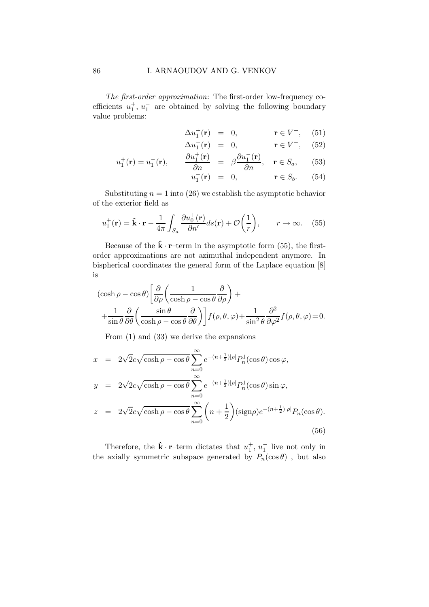The first-order approximation: The first-order low-frequency coefficients  $u_1^+, u_1^-$  are obtained by solving the following boundary value problems:

$$
\Delta u_1^+(\mathbf{r}) = 0, \qquad \mathbf{r} \in V^+, \quad (51)
$$

$$
\Delta u_1^-(\mathbf{r}) = 0, \qquad \mathbf{r} \in V^-, \quad (52)
$$

$$
u_1^+(\mathbf{r}) = u_1^-(\mathbf{r}), \qquad \frac{\partial u_1^+(\mathbf{r})}{\partial n} = \beta \frac{\partial u_1^-(\mathbf{r})}{\partial n}, \quad \mathbf{r} \in S_a, \quad (53)
$$

$$
u_1^-(\mathbf{r}) = 0, \qquad \mathbf{r} \in S_b. \qquad (54)
$$

Substituting  $n = 1$  into (26) we establish the asymptotic behavior of the exterior field as

$$
u_1^+(\mathbf{r}) = \hat{\mathbf{k}} \cdot \mathbf{r} - \frac{1}{4\pi} \int_{S_a} \frac{\partial u_0^+(\mathbf{r})}{\partial n'} ds(\mathbf{r}) + \mathcal{O}\left(\frac{1}{r}\right), \qquad r \to \infty. \tag{55}
$$

Because of the  $\hat{\mathbf{k}} \cdot \mathbf{r}$ -term in the asymptotic form (55), the firstorder approximations are not azimuthal independent anymore. In bispherical coordinates the general form of the Laplace equation [8] is

$$
(\cosh \rho - \cos \theta) \left[ \frac{\partial}{\partial \rho} \left( \frac{1}{\cosh \rho - \cos \theta} \frac{\partial}{\partial \rho} \right) + \frac{1}{\sin \theta} \frac{\partial}{\partial \theta} \left( \frac{\sin \theta}{\cosh \rho - \cos \theta} \frac{\partial}{\partial \theta} \right) \right] f(\rho, \theta, \varphi) + \frac{1}{\sin^2 \theta} \frac{\partial^2}{\partial \varphi^2} f(\rho, \theta, \varphi) = 0.
$$

From (1) and (33) we derive the expansions

$$
x = 2\sqrt{2}c\sqrt{\cosh\rho - \cos\theta} \sum_{n=0}^{\infty} e^{-(n+\frac{1}{2})|\rho|} P_n^1(\cos\theta) \cos\varphi,
$$
  
\n
$$
y = 2\sqrt{2}c\sqrt{\cosh\rho - \cos\theta} \sum_{n=0}^{\infty} e^{-(n+\frac{1}{2})|\rho|} P_n^1(\cos\theta) \sin\varphi,
$$
  
\n
$$
z = 2\sqrt{2}c\sqrt{\cosh\rho - \cos\theta} \sum_{n=0}^{\infty} \left(n + \frac{1}{2}\right) (\text{sign}\rho) e^{-(n+\frac{1}{2})|\rho|} P_n(\cos\theta).
$$
  
\n(56)

Therefore, the  $\hat{\mathbf{k}} \cdot \mathbf{r}$ -term dictates that  $u_1^+, u_1^-$  live not only in the axially symmetric subspace generated by  $P_n(\cos \theta)$ , but also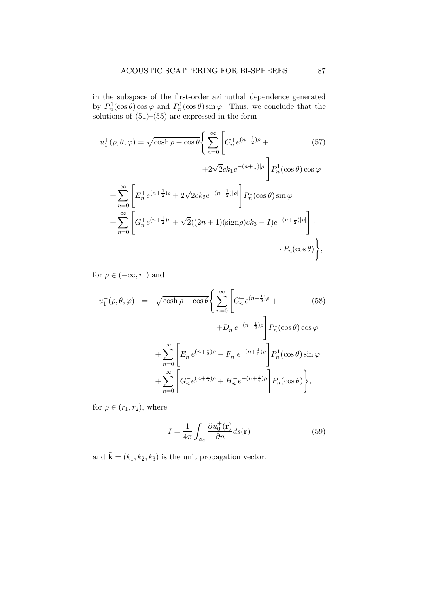in the subspace of the first-order azimuthal dependence generated by  $P_n^1(\cos \theta) \cos \varphi$  and  $P_n^1(\cos \theta) \sin \varphi$ . Thus, we conclude that the solutions of  $(51)$ – $(55)$  are expressed in the form

$$
u_1^+(\rho, \theta, \varphi) = \sqrt{\cosh \rho - \cos \theta} \Bigg\{ \sum_{n=0}^{\infty} \Bigg[ C_n^+ e^{(n + \frac{1}{2})\rho} + (57) + 2\sqrt{2}ck_1e^{-(n + \frac{1}{2})|\rho|} \Bigg] P_n^1(\cos \theta) \cos \varphi
$$
  
+ 
$$
\sum_{n=0}^{\infty} \Bigg[ E_n^+ e^{(n + \frac{1}{2})\rho} + 2\sqrt{2}ck_2e^{-(n + \frac{1}{2})|\rho|} \Bigg] P_n^1(\cos \theta) \sin \varphi
$$
  
+ 
$$
\sum_{n=0}^{\infty} \Bigg[ G_n^+ e^{(n + \frac{1}{2})\rho} + \sqrt{2}((2n + 1)(\text{sign}\rho)ck_3 - I)e^{-(n + \frac{1}{2})|\rho|} \Bigg] \cdot P_n(\cos \theta) \Bigg\},
$$
(6.68)

for  $\rho \in (-\infty, r_1)$  and

$$
u_1^-(\rho, \theta, \varphi) = \sqrt{\cosh \rho - \cos \theta} \Bigg\{ \sum_{n=0}^{\infty} \Bigg[ C_n^- e^{(n + \frac{1}{2})\rho} + \Bigg] P_n^1(\cos \theta) \cos \varphi + D_n^- e^{-(n + \frac{1}{2})\rho} \Bigg] P_n^1(\cos \theta) \cos \varphi + \sum_{n=0}^{\infty} \Bigg[ E_n^- e^{(n + \frac{1}{2})\rho} + F_n^- e^{-(n + \frac{1}{2})\rho} \Bigg] P_n^1(\cos \theta) \sin \varphi + \sum_{n=0}^{\infty} \Bigg[ G_n^- e^{(n + \frac{1}{2})\rho} + H_n^- e^{-(n + \frac{1}{2})\rho} \Bigg] P_n(\cos \theta) \Bigg\},
$$
(58)

for  $\rho \in (r_1, r_2)$ , where

$$
I = \frac{1}{4\pi} \int_{S_a} \frac{\partial u_0^+(\mathbf{r})}{\partial n} ds(\mathbf{r})
$$
\n(59)

and  $\hat{\mathbf{k}} = (k_1, k_2, k_3)$  is the unit propagation vector.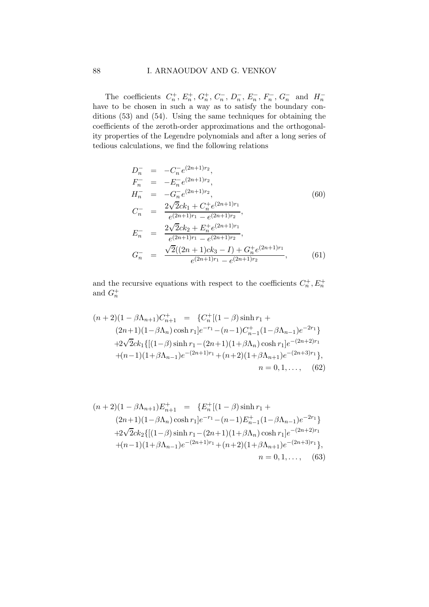The coefficients  $C_n^+$ ,  $E_n^+$ ,  $G_n^+$ ,  $C_n^-$ ,  $D_n^-$ ,  $E_n^-$ ,  $F_n^-$ ,  $G_n^-$  and  $H_n^$ have to be chosen in such a way as to satisfy the boundary conditions (53) and (54). Using the same techniques for obtaining the coefficients of the zeroth-order approximations and the orthogonality properties of the Legendre polynomials and after a long series of tedious calculations, we find the following relations

$$
D_n^- = -C_n^- e^{(2n+1)r_2},
$$
  
\n
$$
F_n^- = -E_n^- e^{(2n+1)r_2},
$$
  
\n
$$
H_n^- = -G_n^- e^{(2n+1)r_2},
$$
  
\n
$$
C_n^- = \frac{2\sqrt{2}ck_1 + C_n^+ e^{(2n+1)r_1}}{e^{(2n+1)r_1} - e^{(2n+1)r_2}},
$$
  
\n
$$
E_n^- = \frac{2\sqrt{2}ck_2 + E_n^+ e^{(2n+1)r_1}}{e^{(2n+1)r_1} - e^{(2n+1)r_2}},
$$
  
\n
$$
G_n^- = \frac{\sqrt{2}((2n+1)ck_3 - I) + G_n^+ e^{(2n+1)r_1}}{e^{(2n+1)r_1} - e^{(2n+1)r_2}},
$$
\n(61)

and the recursive equations with respect to the coefficients  $C_n^+, E_n^+$ and  $G_n^+$ 

$$
(n+2)(1 - \beta \Lambda_{n+1})C_{n+1}^{+} = \{C_{n}^{+}[(1 - \beta) \sinh r_{1} + (2n+1)(1 - \beta \Lambda_{n}) \cosh r_{1}]e^{-r_{1}} - (n-1)C_{n-1}^{+}(1 - \beta \Lambda_{n-1})e^{-2r_{1}}\}+2\sqrt{2}ck_{1}\{[(1 - \beta) \sinh r_{1} - (2n+1)(1 + \beta \Lambda_{n}) \cosh r_{1}]e^{-(2n+2)r_{1}} + (n-1)(1 + \beta \Lambda_{n-1})e^{-(2n+1)r_{1}} + (n+2)(1 + \beta \Lambda_{n+1})e^{-(2n+3)r_{1}}\},
$$
  
\n
$$
n = 0, 1, ..., (62)
$$

$$
(n+2)(1 - \beta \Lambda_{n+1})E_{n+1}^{+} = \{E_n^+[(1 - \beta)\sinh r_1 + (2n+1)(1 - \beta \Lambda_n)\cosh r_1]e^{-r_1} - (n-1)E_{n-1}^+(1 - \beta \Lambda_{n-1})e^{-2r_1}\}\
$$

$$
+2\sqrt{2}ck_2\{[(1 - \beta)\sinh r_1 - (2n+1)(1 + \beta \Lambda_n)\cosh r_1]e^{-(2n+2)r_1} + (n-1)(1 + \beta \Lambda_{n-1})e^{-(2n+1)r_1} + (n+2)(1 + \beta \Lambda_{n+1})e^{-(2n+3)r_1}\},
$$

$$
n = 0, 1, ...,
$$
(63)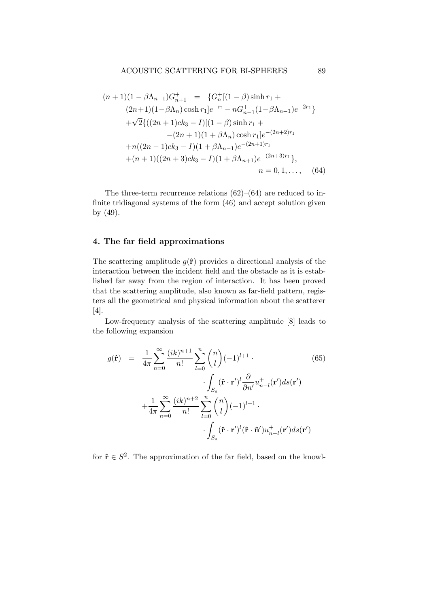## ACOUSTIC SCATTERING FOR BI-SPHERES 89

$$
(n+1)(1 - \beta \Lambda_{n+1})G_{n+1}^{+} = \{G_n^{+}[(1 - \beta) \sinh r_1 + (2n+1)(1 - \beta \Lambda_n) \cosh r_1]e^{-r_1} - nG_{n-1}^{+}(1 - \beta \Lambda_{n-1})e^{-2r_1}\}\n+ \sqrt{2}\{((2n+1)ck_3 - I)[(1 - \beta) \sinh r_1 + (2n+1)(1 + \beta \Lambda_n) \cosh r_1]e^{-(2n+2)r_1}\n+ n((2n-1)ck_3 - I)(1 + \beta \Lambda_{n-1})e^{-(2n+1)r_1}\n+ (n+1)((2n+3)ck_3 - I)(1 + \beta \Lambda_{n+1})e^{-(2n+3)r_1}\},\n n = 0, 1, ..., (64)
$$

The three-term recurrence relations  $(62)$ – $(64)$  are reduced to infinite tridiagonal systems of the form (46) and accept solution given by (49).

# 4. The far field approximations

The scattering amplitude  $g(\hat{\mathbf{r}})$  provides a directional analysis of the interaction between the incident field and the obstacle as it is established far away from the region of interaction. It has been proved that the scattering amplitude, also known as far-field pattern, registers all the geometrical and physical information about the scatterer [4].

Low-frequency analysis of the scattering amplitude [8] leads to the following expansion

$$
g(\hat{\mathbf{r}}) = \frac{1}{4\pi} \sum_{n=0}^{\infty} \frac{(ik)^{n+1}}{n!} \sum_{l=0}^{n} {n \choose l} (-1)^{l+1} \cdot \frac{\int_{S_a} (\hat{\mathbf{r}} \cdot \mathbf{r}')^l \frac{\partial}{\partial n'} u_{n-l}^+(\mathbf{r}') ds(\mathbf{r}')}{\int_{S_a} (\hat{\mathbf{r}} \cdot \mathbf{r}')^l \frac{\partial}{\partial n'} u_{n-l}^+(\mathbf{r}') ds(\mathbf{r}') + \frac{1}{4\pi} \sum_{n=0}^{\infty} \frac{(ik)^{n+2}}{n!} \sum_{l=0}^{n} {n \choose l} (-1)^{l+1} \cdot \frac{\int_{S_a} (\hat{\mathbf{r}} \cdot \mathbf{r}')^l (\hat{\mathbf{r}} \cdot \hat{\mathbf{n}}') u_{n-l}^+(\mathbf{r}') ds(\mathbf{r}')
$$

for  $\hat{\mathbf{r}} \in S^2$ . The approximation of the far field, based on the knowl-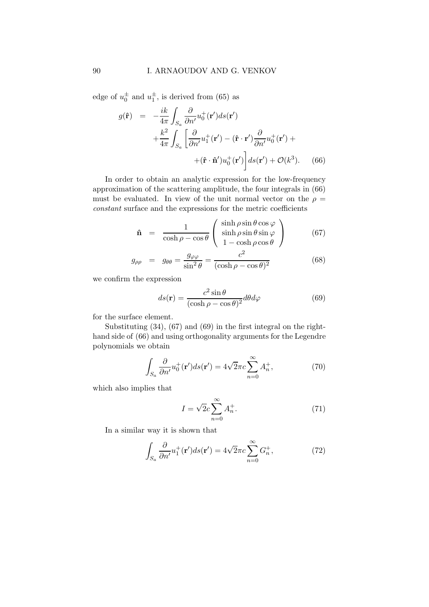edge of  $u_0^{\pm}$  and  $u_1^{\pm}$ , is derived from (65) as

$$
g(\hat{\mathbf{r}}) = -\frac{ik}{4\pi} \int_{S_a} \frac{\partial}{\partial n'} u_0^+(\mathbf{r'}) ds(\mathbf{r'})
$$
  
+ 
$$
\frac{k^2}{4\pi} \int_{S_a} \left[ \frac{\partial}{\partial n'} u_1^+(\mathbf{r'}) - (\hat{\mathbf{r}} \cdot \mathbf{r'}) \frac{\partial}{\partial n'} u_0^+(\mathbf{r'}) +
$$
  
+ 
$$
+(\hat{\mathbf{r}} \cdot \hat{\mathbf{n}}') u_0^+(\mathbf{r'}) \right] ds(\mathbf{r'}) + \mathcal{O}(k^3). \quad (66)
$$

In order to obtain an analytic expression for the low-frequency approximation of the scattering amplitude, the four integrals in (66) must be evaluated. In view of the unit normal vector on the  $\rho =$ constant surface and the expressions for the metric coefficients

$$
\hat{\mathbf{n}} = \frac{1}{\cosh \rho - \cos \theta} \begin{pmatrix} \sinh \rho \sin \theta \cos \varphi \\ \sinh \rho \sin \theta \sin \varphi \\ 1 - \cosh \rho \cos \theta \end{pmatrix}
$$
(67)

$$
g_{\rho\rho} = g_{\theta\theta} = \frac{g_{\varphi\varphi}}{\sin^2\theta} = \frac{c^2}{(\cosh\rho - \cos\theta)^2}
$$
(68)

we confirm the expression

$$
ds(\mathbf{r}) = \frac{c^2 \sin \theta}{(\cosh \rho - \cos \theta)^2} d\theta d\varphi \tag{69}
$$

for the surface element.

Substituting (34), (67) and (69) in the first integral on the righthand side of (66) and using orthogonality arguments for the Legendre polynomials we obtain

$$
\int_{S_a} \frac{\partial}{\partial n'} u_0^+(\mathbf{r'}) ds(\mathbf{r'}) = 4\sqrt{2\pi} c \sum_{n=0}^{\infty} A_n^+, \tag{70}
$$

which also implies that

$$
I = \sqrt{2}c\sum_{n=0}^{\infty} A_n^+.
$$
 (71)

In a similar way it is shown that

$$
\int_{S_a} \frac{\partial}{\partial n'} u_1^+(\mathbf{r'}) ds(\mathbf{r'}) = 4\sqrt{2}\pi c \sum_{n=0}^{\infty} G_n^+, \tag{72}
$$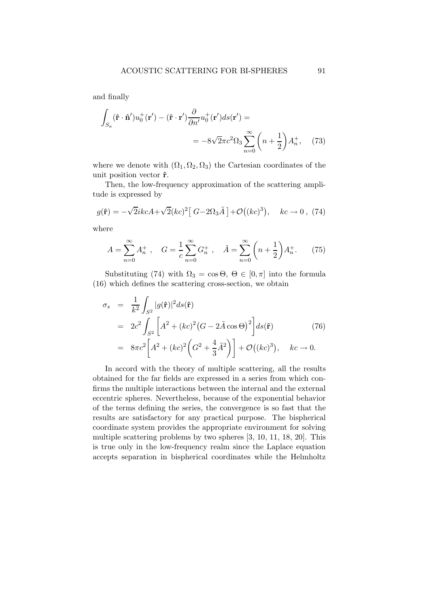and finally

$$
\int_{S_a} (\hat{\mathbf{r}} \cdot \hat{\mathbf{n}}') u_0^+(\mathbf{r}') - (\hat{\mathbf{r}} \cdot \mathbf{r}') \frac{\partial}{\partial n'} u_0^+(\mathbf{r}') ds(\mathbf{r}') =
$$
\n
$$
= -8\sqrt{2} \pi c^2 \Omega_3 \sum_{n=0}^{\infty} \left( n + \frac{1}{2} \right) A_n^+, \quad (73)
$$

where we denote with  $(\Omega_1, \Omega_2, \Omega_3)$  the Cartesian coordinates of the unit position vector  $\hat{\mathbf{r}}$ .

Then, the low-frequency approximation of the scattering amplitude is expressed by

$$
g(\hat{\mathbf{r}}) = -\sqrt{2}ikcA + \sqrt{2}(kc)^2 [G - 2\Omega_3 \tilde{A}] + \mathcal{O}((kc)^3), \quad kc \to 0, (74)
$$

where

$$
A = \sum_{n=0}^{\infty} A_n^+, \quad G = \frac{1}{c} \sum_{n=0}^{\infty} G_n^+, \quad \tilde{A} = \sum_{n=0}^{\infty} \left( n + \frac{1}{2} \right) A_n^+. \tag{75}
$$

Substituting (74) with  $\Omega_3 = \cos \Theta, \Theta \in [0, \pi]$  into the formula (16) which defines the scattering cross-section, we obtain

$$
\sigma_s = \frac{1}{k^2} \int_{S^2} |g(\hat{\mathbf{r}})|^2 ds(\hat{\mathbf{r}})
$$
  
=  $2c^2 \int_{S^2} \left[ A^2 + (kc)^2 (G - 2\tilde{A} \cos \Theta)^2 \right] ds(\hat{\mathbf{r}})$  (76)  
=  $8\pi c^2 \left[ A^2 + (kc)^2 \left( G^2 + \frac{4}{3} \tilde{A}^2 \right) \right] + \mathcal{O}((kc)^3), \quad kc \to 0.$ 

In accord with the theory of multiple scattering, all the results obtained for the far fields are expressed in a series from which confirms the multiple interactions between the internal and the external eccentric spheres. Nevertheless, because of the exponential behavior of the terms defining the series, the convergence is so fast that the results are satisfactory for any practical purpose. The bispherical coordinate system provides the appropriate environment for solving multiple scattering problems by two spheres [3, 10, 11, 18, 20]. This is true only in the low-frequency realm since the Laplace equation accepts separation in bispherical coordinates while the Helmholtz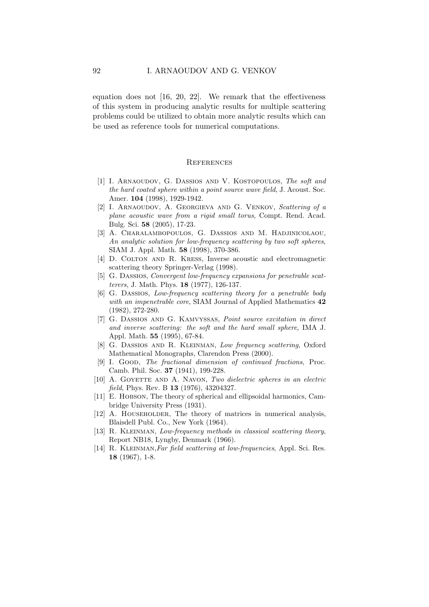equation does not [16, 20, 22]. We remark that the effectiveness of this system in producing analytic results for multiple scattering problems could be utilized to obtain more analytic results which can be used as reference tools for numerical computations.

#### **REFERENCES**

- [1] I. ARNAOUDOV, G. DASSIOS AND V. KOSTOPOULOS, The soft and the hard coated sphere within a point source wave field, J. Acoust. Soc. Amer. 104 (1998), 1929-1942.
- [2] I. ARNAOUDOV, A. GEORGIEVA AND G. VENKOV, Scattering of a plane acoustic wave from a rigid small torus, Compt. Rend. Acad. Bulg. Sci. 58 (2005), 17-23.
- [3] A. Charalambopoulos, G. Dassios and M. Hadjinicolaou, An analytic solution for low-frequency scattering by two soft spheres, SIAM J. Appl. Math. 58 (1998), 370-386.
- [4] D. COLTON AND R. KRESS, Inverse acoustic and electromagnetic scattering theory Springer-Verlag (1998).
- [5] G. Dassios, Convergent low-frequency expansions for penetrable scatterers, J. Math. Phys. 18 (1977), 126-137.
- [6] G. Dassios, Low-frequency scattering theory for a penetrable body with an impenetrable core, SIAM Journal of Applied Mathematics 42 (1982), 272-280.
- [7] G. Dassios and G. Kamvyssas, Point source excitation in direct and inverse scattering: the soft and the hard small sphere, IMA J. Appl. Math. 55 (1995), 67-84.
- [8] G. Dassios and R. Kleinman, Low frequency scattering, Oxford Mathematical Monographs, Clarendon Press (2000).
- [9] I. GOOD, The fractional dimension of continued fractions, Proc. Camb. Phil. Soc. 37 (1941), 199-228.
- [10] A. GOYETTE AND A. NAVON, Two dielectric spheres in an electric field, Phys. Rev. B 13 (1976), 43204327.
- [11] E. HOBSON, The theory of spherical and ellipsoidal harmonics, Cambridge University Press (1931).
- [12] A. HOUSEHOLDER, The theory of matrices in numerical analysis, Blaisdell Publ. Co., New York (1964).
- [13] R. KLEINMAN, Low-frequency methods in classical scattering theory, Report NB18, Lyngby, Denmark (1966).
- [14] R. Kleinman,Far field scattering at low-frequencies, Appl. Sci. Res. 18 (1967), 1-8.